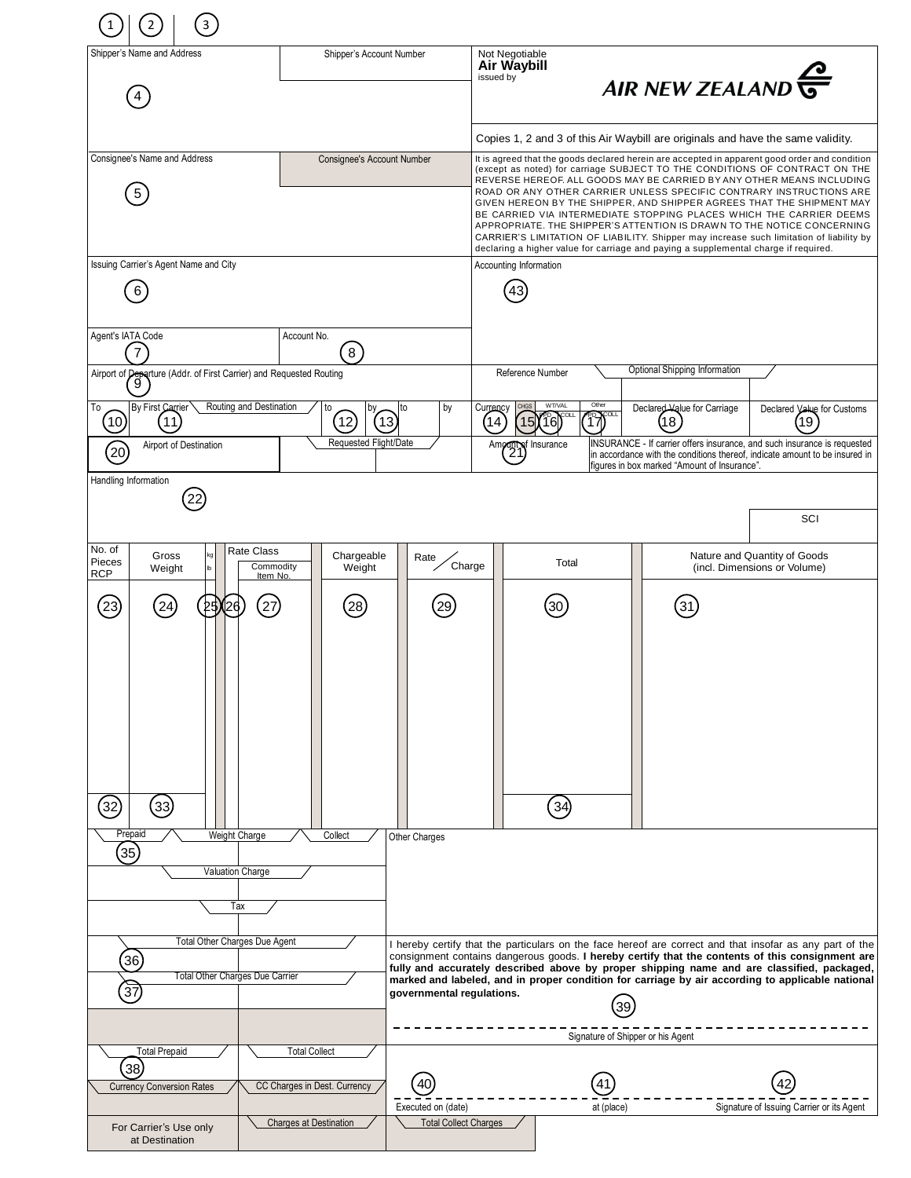| 3                                                                                                                         |                                                            |                                                                                                                                                                                                                                                                                                                                                                                                                                                   |                                                               |                                                       |                                                                                                                                                                                                                                                                                                                                                                                                                                                                                                                                                                                                                                         |                                                              |  |
|---------------------------------------------------------------------------------------------------------------------------|------------------------------------------------------------|---------------------------------------------------------------------------------------------------------------------------------------------------------------------------------------------------------------------------------------------------------------------------------------------------------------------------------------------------------------------------------------------------------------------------------------------------|---------------------------------------------------------------|-------------------------------------------------------|-----------------------------------------------------------------------------------------------------------------------------------------------------------------------------------------------------------------------------------------------------------------------------------------------------------------------------------------------------------------------------------------------------------------------------------------------------------------------------------------------------------------------------------------------------------------------------------------------------------------------------------------|--------------------------------------------------------------|--|
| Shipper's Name and Address                                                                                                | Shipper's Account Number                                   |                                                                                                                                                                                                                                                                                                                                                                                                                                                   | Not Negotiable<br>Air Waybill<br>issued by<br>AIR NEW ZEALAND |                                                       |                                                                                                                                                                                                                                                                                                                                                                                                                                                                                                                                                                                                                                         |                                                              |  |
|                                                                                                                           |                                                            |                                                                                                                                                                                                                                                                                                                                                                                                                                                   |                                                               |                                                       | Copies 1, 2 and 3 of this Air Waybill are originals and have the same validity.                                                                                                                                                                                                                                                                                                                                                                                                                                                                                                                                                         |                                                              |  |
| Consignee's Name and Address                                                                                              | <b>Consignee's Account Number</b>                          |                                                                                                                                                                                                                                                                                                                                                                                                                                                   |                                                               |                                                       | It is agreed that the goods declared herein are accepted in apparent good order and condition                                                                                                                                                                                                                                                                                                                                                                                                                                                                                                                                           |                                                              |  |
| 5                                                                                                                         |                                                            |                                                                                                                                                                                                                                                                                                                                                                                                                                                   |                                                               |                                                       | (except as noted) for carriage SUBJECT TO THE CONDITIONS OF CONTRACT ON THE<br>REVERSE HEREOF. ALL GOODS MAY BE CARRIED BY ANY OTHER MEANS INCLUDING<br>ROAD OR ANY OTHER CARRIER UNLESS SPECIFIC CONTRARY INSTRUCTIONS ARE<br>GIVEN HEREON BY THE SHIPPER, AND SHIPPER AGREES THAT THE SHIPMENT MAY<br>BE CARRIED VIA INTERMEDIATE STOPPING PLACES WHICH THE CARRIER DEEMS<br>APPROPRIATE. THE SHIPPER'S ATTENTION IS DRAWN TO THE NOTICE CONCERNING<br>CARRIER'S LIMITATION OF LIABILITY. Shipper may increase such limitation of liability by<br>declaring a higher value for carriage and paying a supplemental charge if required. |                                                              |  |
| Issuing Carrier's Agent Name and City<br>6                                                                                |                                                            |                                                                                                                                                                                                                                                                                                                                                                                                                                                   | Accounting Information                                        |                                                       |                                                                                                                                                                                                                                                                                                                                                                                                                                                                                                                                                                                                                                         |                                                              |  |
| Agent's IATA Code<br>7                                                                                                    | Account No.<br>$\sqrt{8}$                                  | <b>Optional Shipping Information</b>                                                                                                                                                                                                                                                                                                                                                                                                              |                                                               |                                                       |                                                                                                                                                                                                                                                                                                                                                                                                                                                                                                                                                                                                                                         |                                                              |  |
| Airport of <b>Peparture</b> (Addr. of First Carrier) and Requested Routing                                                |                                                            |                                                                                                                                                                                                                                                                                                                                                                                                                                                   | Reference Number                                              |                                                       |                                                                                                                                                                                                                                                                                                                                                                                                                                                                                                                                                                                                                                         |                                                              |  |
| Routing and Destination<br>By First Carrier<br>To<br>(10)<br>(11)<br>Airport of Destination                               | to<br>to<br>$\overline{12}$<br>13<br>Requested Flight/Date | by                                                                                                                                                                                                                                                                                                                                                                                                                                                | <b>CHGS</b><br>Currency<br>$\frac{14}{5}$<br>15<br>Amo        | WT/VAL<br>Other<br>$\sqrt[4]{17}$<br>16 <br>Insurance | Declared Value for Carriage<br>(18<br>INSURANCE - If carrier offers insurance, and such insurance is requested                                                                                                                                                                                                                                                                                                                                                                                                                                                                                                                          | Declared Value for Customs<br>(19                            |  |
| (20)                                                                                                                      |                                                            |                                                                                                                                                                                                                                                                                                                                                                                                                                                   | $\overline{21}$                                               |                                                       | in accordance with the conditions thereof, indicate amount to be insured in<br>figures in box marked "Amount of Insurance".                                                                                                                                                                                                                                                                                                                                                                                                                                                                                                             |                                                              |  |
| Handling Information                                                                                                      |                                                            |                                                                                                                                                                                                                                                                                                                                                                                                                                                   |                                                               |                                                       |                                                                                                                                                                                                                                                                                                                                                                                                                                                                                                                                                                                                                                         |                                                              |  |
|                                                                                                                           |                                                            |                                                                                                                                                                                                                                                                                                                                                                                                                                                   |                                                               |                                                       |                                                                                                                                                                                                                                                                                                                                                                                                                                                                                                                                                                                                                                         | SCI                                                          |  |
| No. of<br>Rate Class<br>kg<br>Gross<br>Pieces<br>Commodity<br>Weight<br><b>RCP</b><br>Item No.                            | Chargeable<br>Weight                                       | Rate<br>Charge                                                                                                                                                                                                                                                                                                                                                                                                                                    |                                                               | Total                                                 |                                                                                                                                                                                                                                                                                                                                                                                                                                                                                                                                                                                                                                         | Nature and Quantity of Goods<br>(incl. Dimensions or Volume) |  |
| (23)<br>(27)<br>25126<br>24                                                                                               | 28                                                         | 29                                                                                                                                                                                                                                                                                                                                                                                                                                                |                                                               | 30                                                    | 31                                                                                                                                                                                                                                                                                                                                                                                                                                                                                                                                                                                                                                      |                                                              |  |
| 32)<br>$\left( 33\right)$                                                                                                 |                                                            |                                                                                                                                                                                                                                                                                                                                                                                                                                                   |                                                               | (34)                                                  |                                                                                                                                                                                                                                                                                                                                                                                                                                                                                                                                                                                                                                         |                                                              |  |
| Prepaid<br>Weight Charge<br>Collect<br>Other Charges<br>(35)<br>Valuation Charge<br>Tax                                   |                                                            |                                                                                                                                                                                                                                                                                                                                                                                                                                                   |                                                               |                                                       |                                                                                                                                                                                                                                                                                                                                                                                                                                                                                                                                                                                                                                         |                                                              |  |
| Total Other Charges Due Agent<br>$\left[36\right]$<br><b>Total Other Charges Due Carrier</b><br>$\overleftrightarrow{37}$ |                                                            | I hereby certify that the particulars on the face hereof are correct and that insofar as any part of the<br>consignment contains dangerous goods. I hereby certify that the contents of this consignment are<br>fully and accurately described above by proper shipping name and are classified, packaged,<br>marked and labeled, and in proper condition for carriage by air according to applicable national<br>governmental regulations.<br>39 |                                                               |                                                       |                                                                                                                                                                                                                                                                                                                                                                                                                                                                                                                                                                                                                                         |                                                              |  |
|                                                                                                                           |                                                            | Signature of Shipper or his Agent                                                                                                                                                                                                                                                                                                                                                                                                                 |                                                               |                                                       |                                                                                                                                                                                                                                                                                                                                                                                                                                                                                                                                                                                                                                         |                                                              |  |
| <b>Total Prepaid</b><br>(38)<br><b>Currency Conversion Rates</b>                                                          | <b>Total Collect</b><br>CC Charges in Dest. Currency       | 40                                                                                                                                                                                                                                                                                                                                                                                                                                                |                                                               | 41                                                    |                                                                                                                                                                                                                                                                                                                                                                                                                                                                                                                                                                                                                                         |                                                              |  |
| <b>Charges at Destination</b><br>For Carrier's Use only<br>at Destination                                                 |                                                            | Executed on (date)<br><b>Total Collect Charges</b>                                                                                                                                                                                                                                                                                                                                                                                                |                                                               | at (place)                                            |                                                                                                                                                                                                                                                                                                                                                                                                                                                                                                                                                                                                                                         | Signature of Issuing Carrier or its Agent                    |  |